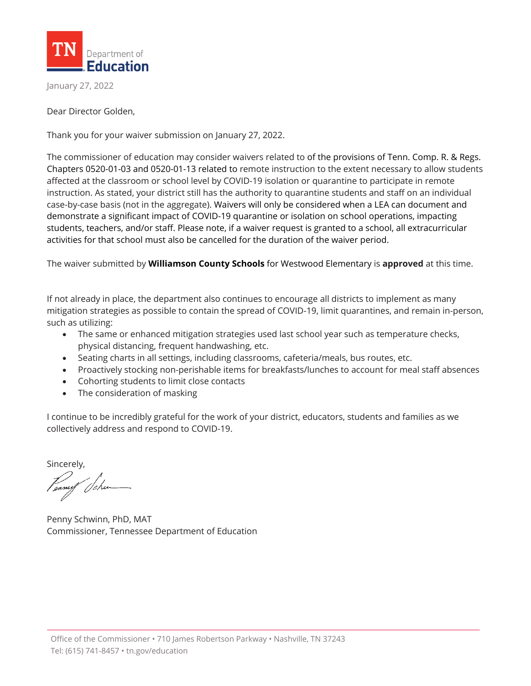

January 27, 2022

Dear Director Golden,

Thank you for your waiver submission on January 27, 2022.

The commissioner of education may consider waivers related to of the provisions of Tenn. Comp. R. & Regs. Chapters 0520-01-03 and 0520-01-13 related to remote instruction to the extent necessary to allow students affected at the classroom or school level by COVID-19 isolation or quarantine to participate in remote instruction. As stated, your district still has the authority to quarantine students and staff on an individual case-by-case basis (not in the aggregate). Waivers will only be considered when a LEA can document and demonstrate a significant impact of COVID-19 quarantine or isolation on school operations, impacting students, teachers, and/or staff. Please note, if a waiver request is granted to a school, all extracurricular activities for that school must also be cancelled for the duration of the waiver period.

The waiver submitted by **Williamson County Schools** for Westwood Elementary is **approved** at this time.

If not already in place, the department also continues to encourage all districts to implement as many mitigation strategies as possible to contain the spread of COVID-19, limit quarantines, and remain in-person, such as utilizing:

- The same or enhanced mitigation strategies used last school year such as temperature checks, physical distancing, frequent handwashing, etc.
- Seating charts in all settings, including classrooms, cafeteria/meals, bus routes, etc.
- Proactively stocking non-perishable items for breakfasts/lunches to account for meal staff absences
- Cohorting students to limit close contacts
- The consideration of masking

I continue to be incredibly grateful for the work of your district, educators, students and families as we collectively address and respond to COVID-19.

Sincerely,

Penny Schwinn, PhD, MAT Commissioner, Tennessee Department of Education